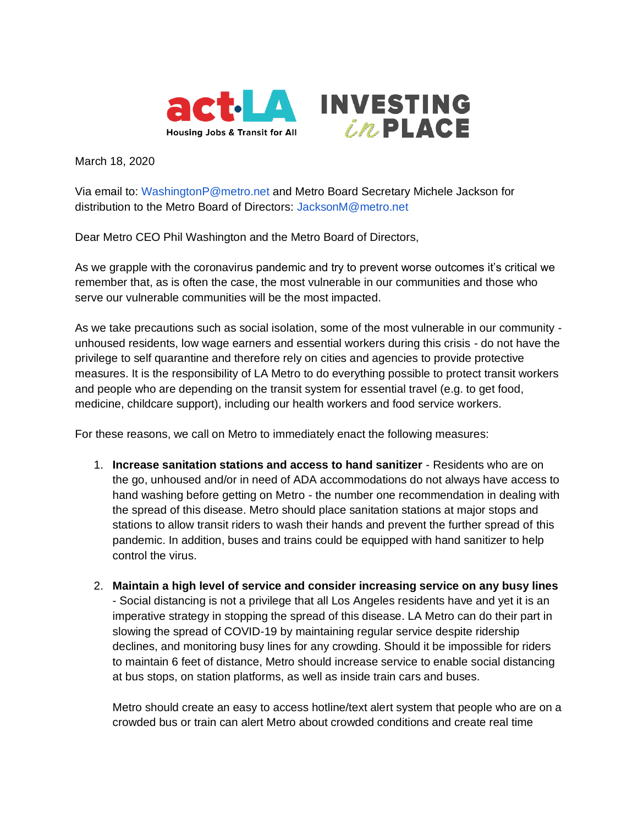



March 18, 2020

Via email to: [WashingtonP@metro.net](mailto:WashingtonP@metro.net) and Metro Board Secretary Michele Jackson for distribution to the Metro Board of Directors: [JacksonM@metro.net](mailto:JacksonM@metro.net)

Dear Metro CEO Phil Washington and the Metro Board of Directors,

As we grapple with the coronavirus pandemic and try to prevent worse outcomes it's critical we remember that, as is often the case, the most vulnerable in our communities and those who serve our vulnerable communities will be the most impacted.

As we take precautions such as social isolation, some of the most vulnerable in our community unhoused residents, low wage earners and essential workers during this crisis - do not have the privilege to self quarantine and therefore rely on cities and agencies to provide protective measures. It is the responsibility of LA Metro to do everything possible to protect transit workers and people who are depending on the transit system for essential travel (e.g. to get food, medicine, childcare support), including our health workers and food service workers.

For these reasons, we call on Metro to immediately enact the following measures:

- 1. **Increase sanitation stations and access to hand sanitizer**  Residents who are on the go, unhoused and/or in need of ADA accommodations do not always have access to hand washing before getting on Metro - the number one recommendation in dealing with the spread of this disease. Metro should place sanitation stations at major stops and stations to allow transit riders to wash their hands and prevent the further spread of this pandemic. In addition, buses and trains could be equipped with hand sanitizer to help control the virus.
- 2. **Maintain a high level of service and consider increasing service on any busy lines**  - Social distancing is not a privilege that all Los Angeles residents have and yet it is an imperative strategy in stopping the spread of this disease. LA Metro can do their part in slowing the spread of COVID-19 by maintaining regular service despite ridership declines, and monitoring busy lines for any crowding. Should it be impossible for riders to maintain 6 feet of distance, Metro should increase service to enable social distancing at bus stops, on station platforms, as well as inside train cars and buses.

Metro should create an easy to access hotline/text alert system that people who are on a crowded bus or train can alert Metro about crowded conditions and create real time